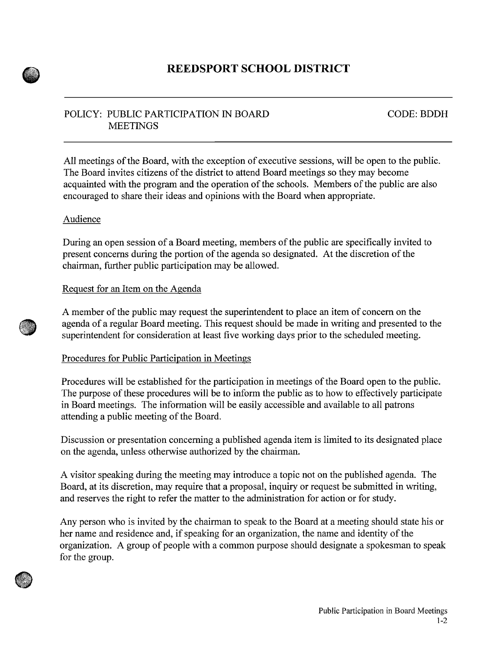

# POLICY: PUBLIC PARTICIPATION IN BOARD **MEETINGS**

CODE: BDDH

All meetings of the Board, with the exception of executive sessions, will be open to the public. The Board invites citizens of the district to attend Board meetings so they may become acquainted with the program and the operation of the schools. Members of the public are also encouraged to share their ideas and opinions with the Board when appropriate.

## Audience

During an open session of a Board meeting, members of the public are specifically invited to present concerns during the portion of the agenda so designated. At the discretion of the chairman, further public participation may be allowed.

## Request for an Item on the Agenda

A member of the public may request the superintendent to place an item of concern on the agenda of a regular Board meeting. This request should be made in writing and presented to the superintendent for consideration at least five working days prior to the scheduled meeting.

### Procedures for Public Participation in Meetings

Procedures will be established for the participation in meetings of the Board open to the public. The purpose of these procedures will be to inform the public as to how to effectively participate in Board meetings. The information will be easily accessible and available to all patrons attending a public meeting of the Board.

Discussion or presentation concerning a published agenda item is limited to its designated place on the agenda, unless otherwise authorized by the chairman.

A visitor speaking during the meeting may introduce a topic not on the published agenda. The Board, at its discretion, may require that a proposal, inquiry or request be submitted in writing, and reserves the right to refer the matter to the administration for action or for study.

Any person who is invited by the chairman to speak to the Board at a meeting should state his or her name and residence and, if speaking for an organization, the name and identity of the organization. A group of people with a common purpose should designate a spokesman to speak for the group.